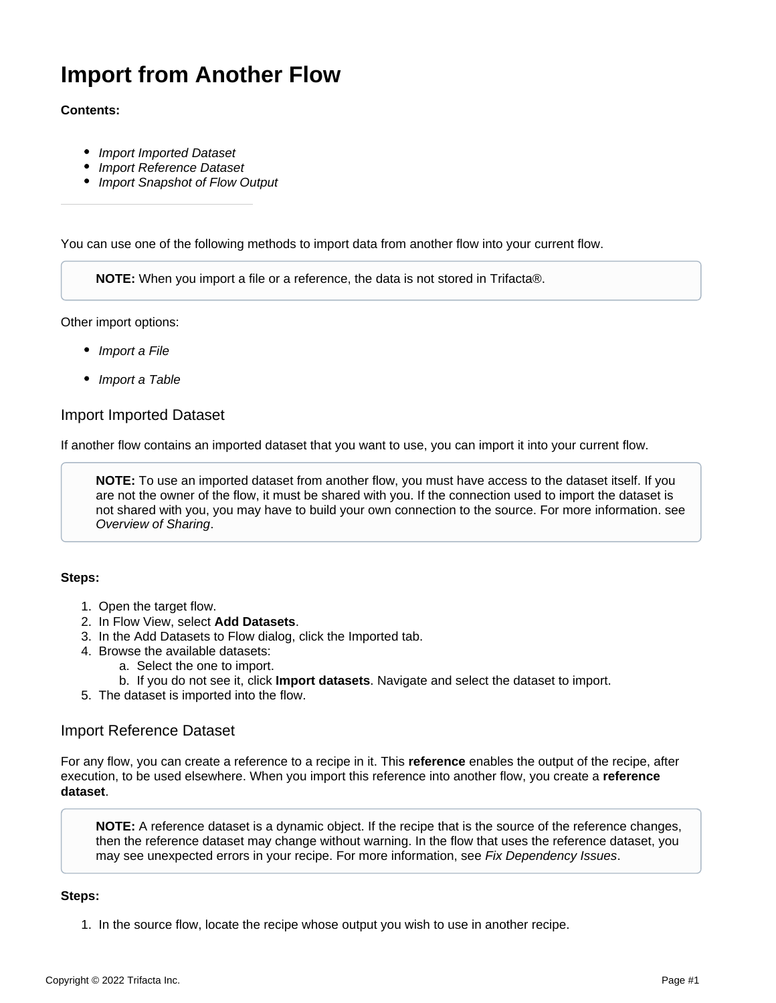# **Import from Another Flow**

# **Contents:**

- [Import Imported Dataset](#page-0-0)
- [Import Reference Dataset](#page-0-1)
- [Import Snapshot of Flow Output](#page-1-0)

You can use one of the following methods to import data from another flow into your current flow.

**NOTE:** When you import a file or a reference, the data is not stored in Trifacta®.

Other import options:

- [Import a File](https://docs.trifacta.com/display/SSP/Import+a+File)
- [Import a Table](https://docs.trifacta.com/display/SSP/Import+a+Table)

# <span id="page-0-0"></span>Import Imported Dataset

If another flow contains an imported dataset that you want to use, you can import it into your current flow.

**NOTE:** To use an imported dataset from another flow, you must have access to the dataset itself. If you are not the owner of the flow, it must be shared with you. If the connection used to import the dataset is not shared with you, you may have to build your own connection to the source. For more information. see [Overview of Sharing](https://docs.trifacta.com/display/SSP/Overview+of+Sharing).

#### **Steps:**

- 1. Open the target flow.
- 2. In Flow View, select **Add Datasets**.
- 3. In the Add Datasets to Flow dialog, click the Imported tab.
- 4. Browse the available datasets:
	- a. Select the one to import.
	- b. If you do not see it, click **Import datasets**. Navigate and select the dataset to import.
- 5. The dataset is imported into the flow.

# <span id="page-0-1"></span>Import Reference Dataset

For any flow, you can create a reference to a recipe in it. This **reference** enables the output of the recipe, after execution, to be used elsewhere. When you import this reference into another flow, you create a **reference dataset**.

**NOTE:** A reference dataset is a dynamic object. If the recipe that is the source of the reference changes, then the reference dataset may change without warning. In the flow that uses the reference dataset, you may see unexpected errors in your recipe. For more information, see [Fix Dependency Issues](https://docs.trifacta.com/display/SSP/Fix+Dependency+Issues).

#### **Steps:**

1. In the source flow, locate the recipe whose output you wish to use in another recipe.